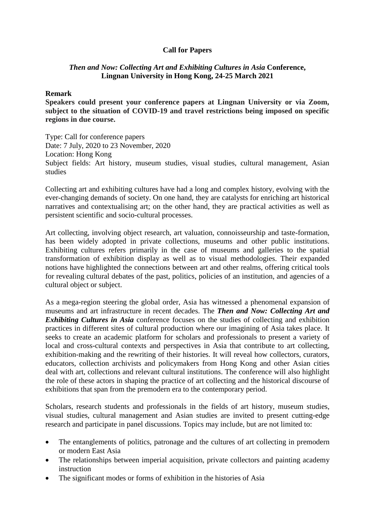## **Call for Papers**

## *Then and Now: Collecting Art and Exhibiting Cultures in Asia* **Conference, Lingnan University in Hong Kong, 24-25 March 2021**

## **Remark**

**Speakers could present your conference papers at Lingnan University or via Zoom, subject to the situation of COVID-19 and travel restrictions being imposed on specific regions in due course.**

Type: Call for conference papers Date: 7 July, 2020 to 23 November, 2020 Location: Hong Kong Subject fields: Art history, museum studies, visual studies, cultural management, Asian studies

Collecting art and exhibiting cultures have had a long and complex history, evolving with the ever-changing demands of society. On one hand, they are catalysts for enriching art historical narratives and contextualising art; on the other hand, they are practical activities as well as persistent scientific and socio-cultural processes.

Art collecting, involving object research, art valuation, connoisseurship and taste-formation, has been widely adopted in private collections, museums and other public institutions. Exhibiting cultures refers primarily in the case of museums and galleries to the spatial transformation of exhibition display as well as to visual methodologies. Their expanded notions have highlighted the connections between art and other realms, offering critical tools for revealing cultural debates of the past, politics, policies of an institution, and agencies of a cultural object or subject.

As a mega-region steering the global order, Asia has witnessed a phenomenal expansion of museums and art infrastructure in recent decades. The *Then and Now: Collecting Art and Exhibiting Cultures in Asia* conference focuses on the studies of collecting and exhibition practices in different sites of cultural production where our imagining of Asia takes place. It seeks to create an academic platform for scholars and professionals to present a variety of local and cross-cultural contexts and perspectives in Asia that contribute to art collecting, exhibition-making and the rewriting of their histories. It will reveal how collectors, curators, educators, collection archivists and policymakers from Hong Kong and other Asian cities deal with art, collections and relevant cultural institutions. The conference will also highlight the role of these actors in shaping the practice of art collecting and the historical discourse of exhibitions that span from the premodern era to the contemporary period.

Scholars, research students and professionals in the fields of art history, museum studies, visual studies, cultural management and Asian studies are invited to present cutting-edge research and participate in panel discussions. Topics may include, but are not limited to:

- The entanglements of politics, patronage and the cultures of art collecting in premodern or modern East Asia
- The relationships between imperial acquisition, private collectors and painting academy instruction
- The significant modes or forms of exhibition in the histories of Asia